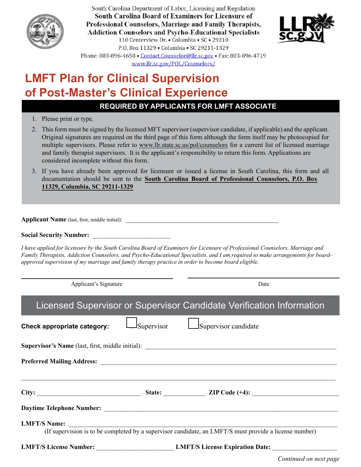

South Carolina Department of Labor, Licensing and Regulation **South Carolina Board of Examiners for Licensure of** Professional Counselors, Marriage and Family Therapists, **Addiction Counselors and Psycho-Educational Specialists** 110 Centerview Dr. • Columbia • SC • 29210 P.O. Box 11329 . Columbia . SC 29211-1329 Phone: 803-896-4658 • Contact.Counselor@llr.sc.gov • Fax: 803-896-4719 www.llr.sc.gov/POL/Counselors/



# **LMFT Plan for Clinical Supervision of Post-Master's Clinical Experience**

### **REQUIRED BY APPLICANTS FOR LMFT ASSOCIATE**

- 1. Please print or type.
- 2. This form must be signed by the licensed MFT supervisor (supervisor candidate, if applicable) and the applicant. Original signatures are required on the third page of this form although the form itself may be photocopied for multiple supervisors. Please refer to www.llr.state.sc.us/pol/counselors for a current list of licensed marriage and family therapist supervisors. It is the applicant's responsibility to return this form. Applications are considered incomplete without this form.
- 3. If you have already been approved for licensure or issued a license in South Carolina, this form and all documentation should be sent to the **South Carolina Board of Professional Counselors, P.O. Box 11329, Columbia, SC 29211-1329**

**Applicant Name** (last, first, middle initial):

**Social Security Number:** \_\_\_\_\_\_\_\_\_\_\_\_\_\_\_\_\_\_\_\_\_\_\_\_

*I have applied for licensure by the South Carolina Board of Examiners for Licensure of Professional Counselors, Marriage and Family Therapists, Addiction Counselors, and Psycho-Educational Specialists, and I am required to make arrangements for boardapproved supervision of my marriage and family therapy practice in order to become board eligible.*

Applicant's Signature Date

## Licensed Supervisor or Supervisor Candidate Verification Information

| Check appropriate category:                                                                                                   | $\Box$ Supervisor | Supervisor candidate                                          |  |  |  |
|-------------------------------------------------------------------------------------------------------------------------------|-------------------|---------------------------------------------------------------|--|--|--|
|                                                                                                                               |                   |                                                               |  |  |  |
|                                                                                                                               |                   |                                                               |  |  |  |
| City:                                                                                                                         |                   | State: ZIP Code (+4):                                         |  |  |  |
|                                                                                                                               |                   |                                                               |  |  |  |
| <b>LMFT/S Name:</b><br>(If supervision is to be completed by a supervisor candidate, an LMFT/S must provide a license number) |                   |                                                               |  |  |  |
|                                                                                                                               |                   | <b>LMFT/S License Number:</b> LMFT/S License Expiration Date: |  |  |  |

*Continued on next page*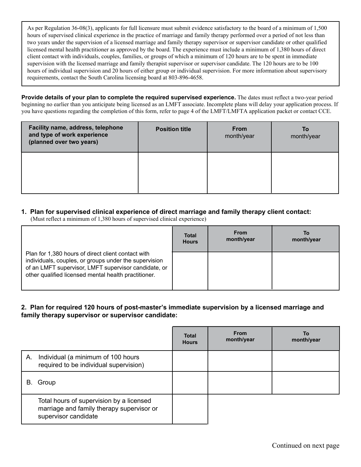As per Regulation 36-08(3), applicants for full licensure must submit evidence satisfactory to the board of a minimum of 1,500 hours of supervised clinical experience in the practice of marriage and family therapy performed over a period of not less than two years under the supervision of a licensed marriage and family therapy supervisor or supervisor candidate or other qualified licensed mental health practitioner as approved by the board. The experience must include a minimum of 1,380 hours of direct client contact with individuals, couples, families, or groups of which a minimum of 120 hours are to be spent in immediate supervision with the licensed marriage and family therapist supervisor or supervisor candidate. The 120 hours are to be 100 hours of individual supervision and 20 hours of either group or individual supervision. For more information about supervisory requirements, contact the South Carolina licensing board at 803-896-4658.

**Provide details of your plan to complete the required supervised experience.** The dates must reflect a two-year period beginning no earlier than you anticipate being licensed as an LMFT associate. Incomplete plans will delay your application process. If you have questions regarding the completion of this form, refer to page 4 of the LMFT/LMFTA application packet or contact CCE.

| Facility name, address, telephone<br>and type of work experience<br>(planned over two years) | <b>Position title</b> | <b>From</b><br>month/year | To<br>month/year |
|----------------------------------------------------------------------------------------------|-----------------------|---------------------------|------------------|
|                                                                                              |                       |                           |                  |

### **1. Plan for supervised clinical experience of direct marriage and family therapy client contact:**

(Must reflect a minimum of 1,380 hours of supervised clinical experience)

|                                                                                                                                                                                                                             | <b>Total</b> | <b>From</b> | То         |
|-----------------------------------------------------------------------------------------------------------------------------------------------------------------------------------------------------------------------------|--------------|-------------|------------|
|                                                                                                                                                                                                                             | <b>Hours</b> | month/year  | month/year |
| Plan for 1,380 hours of direct client contact with<br>individuals, couples, or groups under the supervision<br>of an LMFT supervisor, LMFT supervisor candidate, or<br>other qualified licensed mental health practitioner. |              |             |            |

**2. Plan for required 120 hours of post-master's immediate supervision by a licensed marriage and family therapy supervisor or supervisor candidate:**

|    |                                                                                                               | <b>Total</b><br><b>Hours</b> | <b>From</b><br>month/year | To<br>month/year |
|----|---------------------------------------------------------------------------------------------------------------|------------------------------|---------------------------|------------------|
| А. | Individual (a minimum of 100 hours<br>required to be individual supervision)                                  |                              |                           |                  |
| В. | Group                                                                                                         |                              |                           |                  |
|    | Total hours of supervision by a licensed<br>marriage and family therapy supervisor or<br>supervisor candidate |                              |                           |                  |